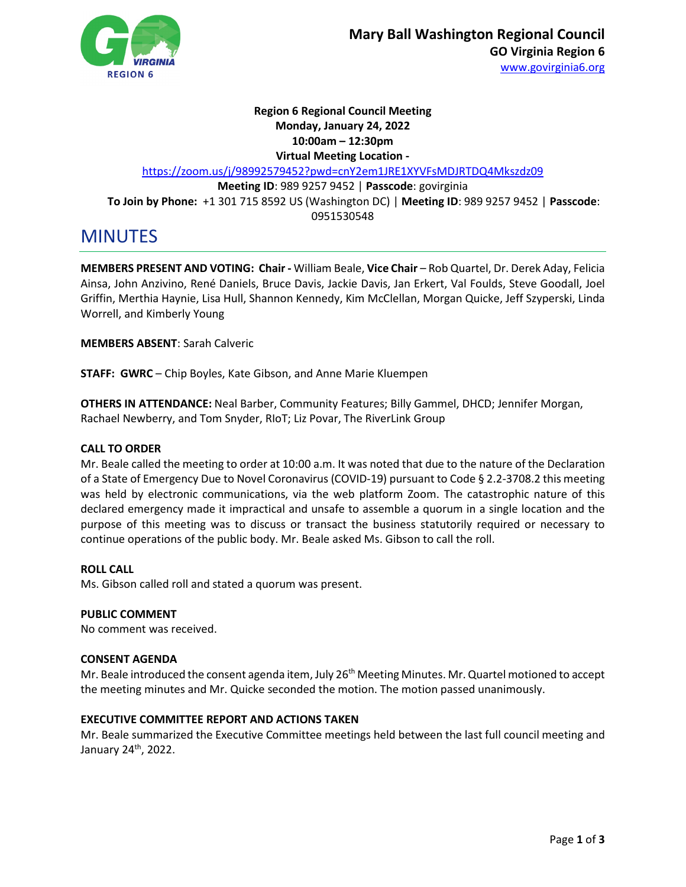

# **Region 6 Regional Council Meeting Monday, January 24, 2022 10:00am – 12:30pm Virtual Meeting Location**  <https://zoom.us/j/98992579452?pwd=cnY2em1JRE1XYVFsMDJRTDQ4Mkszdz09> **Meeting ID**: 989 9257 9452 | **Passcode**: govirginia **To Join by Phone:** +1 301 715 8592 US (Washington DC) | **Meeting ID**: 989 9257 9452 | **Passcode**: 0951530548

# MINUTES

**MEMBERS PRESENT AND VOTING: Chair -** William Beale, **Vice Chair** – Rob Quartel, Dr. Derek Aday, Felicia Ainsa, John Anzivino, René Daniels, Bruce Davis, Jackie Davis, Jan Erkert, Val Foulds, Steve Goodall, Joel Griffin, Merthia Haynie, Lisa Hull, Shannon Kennedy, Kim McClellan, Morgan Quicke, Jeff Szyperski, Linda Worrell, and Kimberly Young

**MEMBERS ABSENT**: Sarah Calveric

**STAFF: GWRC** – Chip Boyles, Kate Gibson, and Anne Marie Kluempen

**OTHERS IN ATTENDANCE:** Neal Barber, Community Features; Billy Gammel, DHCD; Jennifer Morgan, Rachael Newberry, and Tom Snyder, RIoT; Liz Povar, The RiverLink Group

# **CALL TO ORDER**

Mr. Beale called the meeting to order at 10:00 a.m. It was noted that due to the nature of the Declaration of a State of Emergency Due to Novel Coronavirus (COVID-19) pursuant to Code § 2.2-3708.2 this meeting was held by electronic communications, via the web platform Zoom. The catastrophic nature of this declared emergency made it impractical and unsafe to assemble a quorum in a single location and the purpose of this meeting was to discuss or transact the business statutorily required or necessary to continue operations of the public body. Mr. Beale asked Ms. Gibson to call the roll.

#### **ROLL CALL**

Ms. Gibson called roll and stated a quorum was present.

#### **PUBLIC COMMENT**

No comment was received.

#### **CONSENT AGENDA**

Mr. Beale introduced the consent agenda item, July 26<sup>th</sup> Meeting Minutes. Mr. Quartel motioned to accept the meeting minutes and Mr. Quicke seconded the motion. The motion passed unanimously.

#### **EXECUTIVE COMMITTEE REPORT AND ACTIONS TAKEN**

Mr. Beale summarized the Executive Committee meetings held between the last full council meeting and January 24th, 2022.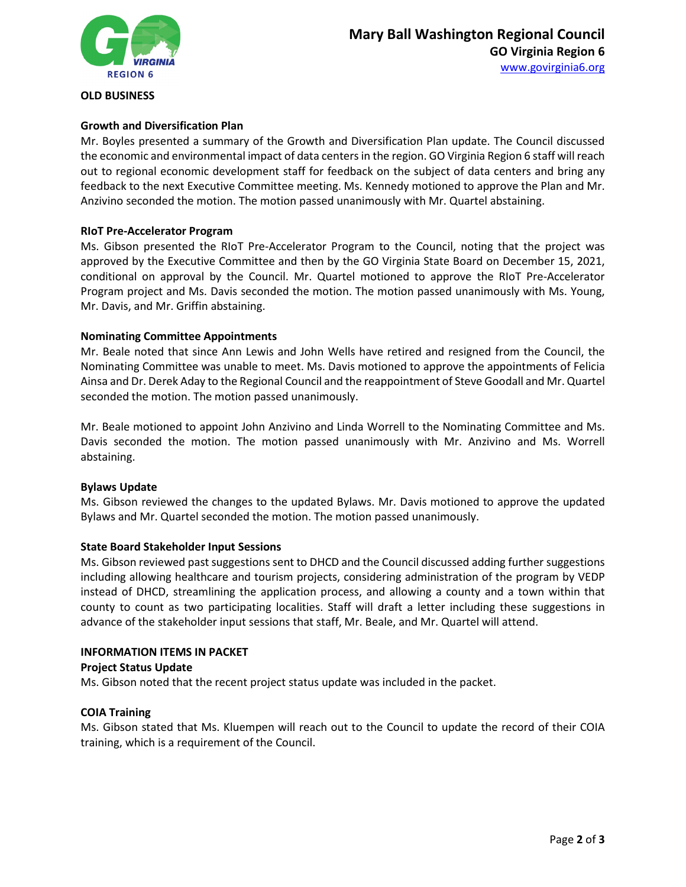

#### **OLD BUSINESS**

# **Growth and Diversification Plan**

Mr. Boyles presented a summary of the Growth and Diversification Plan update. The Council discussed the economic and environmental impact of data centers in the region. GO Virginia Region 6 staff will reach out to regional economic development staff for feedback on the subject of data centers and bring any feedback to the next Executive Committee meeting. Ms. Kennedy motioned to approve the Plan and Mr. Anzivino seconded the motion. The motion passed unanimously with Mr. Quartel abstaining.

# **RIoT Pre-Accelerator Program**

Ms. Gibson presented the RIoT Pre-Accelerator Program to the Council, noting that the project was approved by the Executive Committee and then by the GO Virginia State Board on December 15, 2021, conditional on approval by the Council. Mr. Quartel motioned to approve the RIoT Pre-Accelerator Program project and Ms. Davis seconded the motion. The motion passed unanimously with Ms. Young, Mr. Davis, and Mr. Griffin abstaining.

#### **Nominating Committee Appointments**

Mr. Beale noted that since Ann Lewis and John Wells have retired and resigned from the Council, the Nominating Committee was unable to meet. Ms. Davis motioned to approve the appointments of Felicia Ainsa and Dr. Derek Aday to the Regional Council and the reappointment of Steve Goodall and Mr. Quartel seconded the motion. The motion passed unanimously.

Mr. Beale motioned to appoint John Anzivino and Linda Worrell to the Nominating Committee and Ms. Davis seconded the motion. The motion passed unanimously with Mr. Anzivino and Ms. Worrell abstaining.

#### **Bylaws Update**

Ms. Gibson reviewed the changes to the updated Bylaws. Mr. Davis motioned to approve the updated Bylaws and Mr. Quartel seconded the motion. The motion passed unanimously.

#### **State Board Stakeholder Input Sessions**

Ms. Gibson reviewed past suggestions sent to DHCD and the Council discussed adding further suggestions including allowing healthcare and tourism projects, considering administration of the program by VEDP instead of DHCD, streamlining the application process, and allowing a county and a town within that county to count as two participating localities. Staff will draft a letter including these suggestions in advance of the stakeholder input sessions that staff, Mr. Beale, and Mr. Quartel will attend.

#### **INFORMATION ITEMS IN PACKET**

#### **Project Status Update**

Ms. Gibson noted that the recent project status update was included in the packet.

#### **COIA Training**

Ms. Gibson stated that Ms. Kluempen will reach out to the Council to update the record of their COIA training, which is a requirement of the Council.